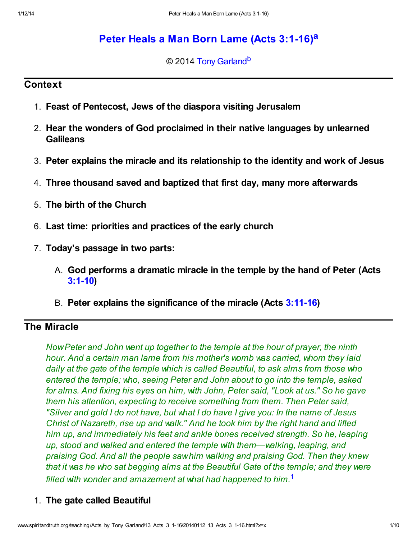# [Peter Heals a Man Born Lame \(Acts 3:1-16\)](http://www.spiritandtruth.org/teaching/Acts_by_Tony_Garland/13_Acts_3_1-16/index.htm)<sup>[a](#page-9-0)</sup>

<span id="page-0-2"></span><span id="page-0-1"></span>© 2014 [Tony Garland](http://www.spiritandtruth.org/id/tg.htm)<sup>[b](#page-9-1)</sup>

### **Context**

- 1. Feast of Pentecost, Jews of the diaspora visiting Jerusalem
- 2. Hear the wonders of God proclaimed in their native languages by unlearned **Galileans**
- 3. Peter explains the miracle and its relationship to the identity and work of Jesus
- 4. Three thousand saved and baptized that first day, many more afterwards
- 5. The birth of the Church
- 6. Last time: priorities and practices of the early church
- 7. Today's passage in two parts:
	- A. God performs a dramatic miracle in the temple by the hand of Peter (Acts [3:1-10\)](http://www.spiritandtruth.org/bibles/nasb/b44c003.htm#Acts_C3V1)
	- B. Peter explains the significance of the miracle (Acts [3:11-16](http://www.spiritandtruth.org/bibles/nasb/b44c003.htm#Acts_C3V11))

# The Miracle

Now Peter and John went up together to the temple at the hour of prayer, the ninth hour. And a certain man lame from his mother's womb was carried, whom they laid daily at the gate of the temple which is called Beautiful, to ask alms from those who entered the temple; who, seeing Peter and John about to go into the temple, asked for alms. And fixing his eyes on him, with John, Peter said, "Look at us." So he gave them his attention, expecting to receive something from them. Then Peter said, "Silver and gold I do not have, but what I do have I give you: In the name of Jesus Christ of Nazareth, rise up and walk." And he took him by the right hand and lifted him up, and immediately his feet and ankle bones received strength. So he, leaping up, stood and walked and entered the temple with them—walking, leaping, and praising God. And all the people saw him walking and praising God. Then they knew that it was he who sat begging alms at the Beautiful Gate of the temple; and they were filled with wonder and amazement at what had happened to him. $1$ 

### <span id="page-0-0"></span>1. The gate called Beautiful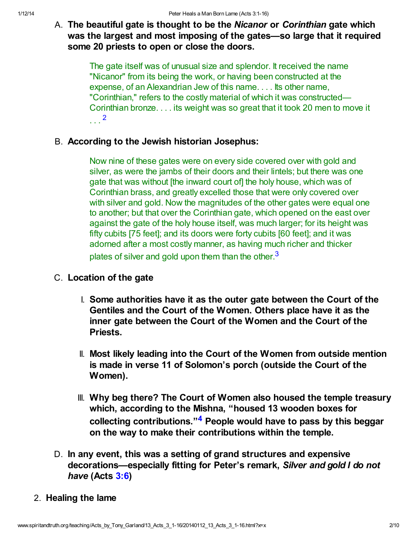## A. The beautiful gate is thought to be the *Nicanor* or *Corinthian* gate which was the largest and most imposing of the gates—so large that it required some 20 priests to open or close the doors.

The gate itself was of unusual size and splendor. It received the name "Nicanor" from its being the work, or having been constructed at the expense, of an Alexandrian Jew of this name. . . . Its other name, "Corinthian," refers to the costly material of which it was constructed— Corinthian bronze. . . . its weight was so great that it took 20 men to move it . . . [2](#page-8-1)

## B. According to the Jewish historian Josephus:

<span id="page-1-0"></span>Now nine of these gates were on every side covered over with gold and silver, as were the jambs of their doors and their lintels; but there was one gate that was without [the inward court of] the holy house, which was of Corinthian brass, and greatly excelled those that were only covered over with silver and gold. Now the magnitudes of the other gates were equal one to another; but that over the Corinthian gate, which opened on the east over against the gate of the holy house itself, was much larger; for its height was fifty cubits [75 feet]; and its doors were forty cubits [60 feet]; and it was adorned after a most costly manner, as having much richer and thicker plates of silver and gold upon them than the other. $3$ 

### C. Location of the gate

- <span id="page-1-1"></span>I. Some authorities have it as the outer gate between the Court of the Gentiles and the Court of the Women. Others place have it as the inner gate between the Court of the Women and the Court of the Priests.
- II. Most likely leading into the Court of the Women from outside mention is made in verse 11 of Solomon's porch (outside the Court of the Women).
- <span id="page-1-2"></span>III. Why beg there? The Court of Women also housed the temple treasury which, according to the Mishna, "housed 13 wooden boxes for collecting contributions."<sup>[4](#page-8-3)</sup> People would have to pass by this beggar on the way to make their contributions within the temple.
- D. In any event, this was a setting of grand structures and expensive decorations—especially fitting for Peter's remark, Silver and gold I do not have (Acts [3:6](http://www.spiritandtruth.org/bibles/nasb/b44c003.htm#Acts_C3V6))

### 2. Healing the lame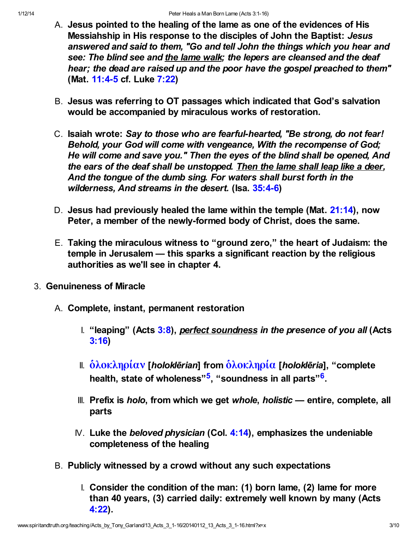- A. Jesus pointed to the healing of the lame as one of the evidences of His Messiahship in His response to the disciples of John the Baptist: Jesus answered and said to them, "Go and tell John the things which you hear and see: The blind see and the lame walk; the lepers are cleansed and the deaf hear; the dead are raised up and the poor have the gospel preached to them" (Mat. [11:4-5](http://www.spiritandtruth.org/bibles/nasb/b40c011.htm#Mat._C11V4) cf. Luke [7:22](http://www.spiritandtruth.org/bibles/nasb/b42c007.htm#Luke_C7V22))
- B. Jesus was referring to OT passages which indicated that God's salvation would be accompanied by miraculous works of restoration.
- C. Isaiah wrote: Say to those who are fearful-hearted, "Be strong, do not fear! Behold, your God will come with vengeance, With the recompense of God; He will come and save you." Then the eyes of the blind shall be opened, And the ears of the deaf shall be unstopped. Then the lame shall leap like a deer, And the tongue of the dumb sing. For waters shall burst forth in the wilderness, And streams in the desert. (Isa. [35:4-6](http://www.spiritandtruth.org/bibles/nasb/b23c035.htm#Isa._C35V4))
- D. Jesus had previously healed the lame within the temple (Mat. [21:14](http://www.spiritandtruth.org/bibles/nasb/b40c021.htm#Mat._C21V14)), now Peter, a member of the newly-formed body of Christ, does the same.
- <span id="page-2-1"></span>E. Taking the miraculous witness to "ground zero," the heart of Judaism: the temple in Jerusalem — this sparks a significant reaction by the religious authorities as we'll see in chapter 4.
- <span id="page-2-0"></span>3. Genuineness of Miracle
	- A. Complete, instant, permanent restoration
		- I. "leaping" (Acts  $3:8$ ), perfect soundness in the presence of you all (Acts [3:16\)](http://www.spiritandtruth.org/bibles/nasb/b44c003.htm#Acts_C3V16)
		- II.  $\delta\lambda$ οκληρίαν [holoklērian] from  $\delta\lambda$ οκληρία [holoklēria], "complete health, state of wholeness"<sup>[5](#page-8-4)</sup>, "soundness in all parts"<sup>[6](#page-8-5)</sup>.
		- III. Prefix is *holo*, from which we get whole, holistic  $-$  entire, complete, all parts
		- $N$ . Luke the beloved physician (Col. [4:14\)](http://www.spiritandtruth.org/bibles/nasb/b51c004.htm#Col._C4V14), emphasizes the undeniable completeness of the healing
	- B. Publicly witnessed by a crowd without any such expectations
		- I. Consider the condition of the man: (1) born lame, (2) lame for more than 40 years, (3) carried daily: extremely well known by many (Acts [4:22\)](http://www.spiritandtruth.org/bibles/nasb/b44c004.htm#Acts_C4V22).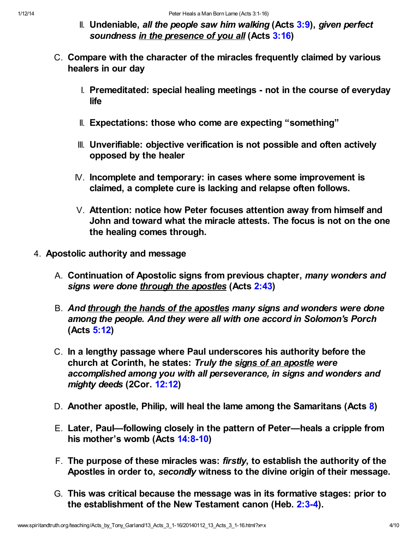- II. Undeniable, all the people saw him walking  $(Acts 3:9)$  $(Acts 3:9)$  $(Acts 3:9)$ , given perfect soundness in the presence of you all (Acts [3:16](http://www.spiritandtruth.org/bibles/nasb/b44c003.htm#Acts_C3V16))
- C. Compare with the character of the miracles frequently claimed by various healers in our day
	- I. Premeditated: special healing meetings not in the course of everyday life
	- II. Expectations: those who come are expecting "something"
	- III. Unverifiable: objective verification is not possible and often actively opposed by the healer
	- IV. Incomplete and temporary: in cases where some improvement is claimed, a complete cure is lacking and relapse often follows.
	- V. Attention: notice how Peter focuses attention away from himself and John and toward what the miracle attests. The focus is not on the one the healing comes through.
- 4. Apostolic authority and message
	- A. Continuation of Apostolic signs from previous chapter, many wonders and signs were done through the apostles (Acts [2:43\)](http://www.spiritandtruth.org/bibles/nasb/b44c002.htm#Acts_C2V43)
	- B. And through the hands of the apostles many signs and wonders were done among the people. And they were all with one accord in Solomon's Porch (Acts [5:12\)](http://www.spiritandtruth.org/bibles/nasb/b44c005.htm#Acts_C5V12)
	- C. In a lengthy passage where Paul underscores his authority before the church at Corinth, he states: Truly the signs of an apostle were accomplished among you with all perseverance, in signs and wonders and mighty deeds (2Cor. [12:12](http://www.spiritandtruth.org/bibles/nasb/b47c012.htm#2Cor._C12V12))
	- D. Another apostle, Philip, will heal the lame among the Samaritans (Acts [8\)](http://www.spiritandtruth.org/bibles/nasb/b44c008.htm#Acts_C8V1)
	- E. Later, Paul—following closely in the pattern of Peter—heals a cripple from his mother's womb (Acts [14:8-10](http://www.spiritandtruth.org/bibles/nasb/b44c014.htm#Acts_C14V8))
	- F. The purpose of these miracles was: firstly, to establish the authority of the Apostles in order to, secondly witness to the divine origin of their message.
	- G. This was critical because the message was in its formative stages: prior to the establishment of the New Testament canon (Heb. [2:3-4](http://www.spiritandtruth.org/bibles/nasb/b58c002.htm#Heb._C2V3)).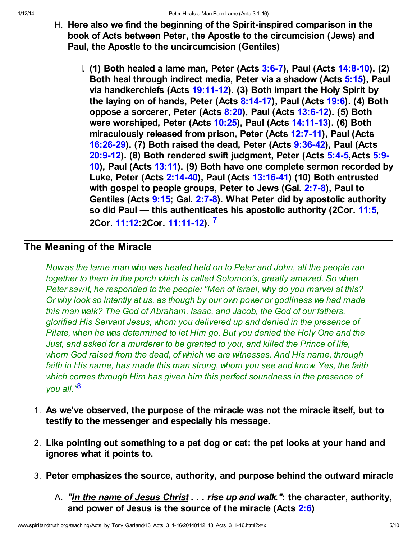- H. Here also we find the beginning of the Spirit-inspired comparison in the book of Acts between Peter, the Apostle to the circumcision (Jews) and Paul, the Apostle to the uncircumcision (Gentiles)
	- I. (1) Both healed a lame man, Peter (Acts  $3:6-7$ ), Paul (Acts  $14:8-10$ ). (2) Both heal through indirect media, Peter via a shadow (Acts [5:15\)](http://www.spiritandtruth.org/bibles/nasb/b44c005.htm#Acts_C5V15), Paul via handkerchiefs (Acts [19:11-12\)](http://www.spiritandtruth.org/bibles/nasb/b44c019.htm#Acts_C19V11). (3) Both impart the Holy Spirit by the laying on of hands, Peter (Acts  $8:14-17$ ), Paul (Acts  $19:6$ ). (4) Both oppose a sorcerer, Peter (Acts [8:20\)](http://www.spiritandtruth.org/bibles/nasb/b44c008.htm#Acts_C8V20), Paul (Acts [13:6-12](http://www.spiritandtruth.org/bibles/nasb/b44c013.htm#Acts_C13V6)). (5) Both were worshiped, Peter (Acts [10:25\)](http://www.spiritandtruth.org/bibles/nasb/b44c010.htm#Acts_C10V25), Paul (Acts [14:11-13](http://www.spiritandtruth.org/bibles/nasb/b44c014.htm#Acts_C14V11)). (6) Both miraculously released from prison, Peter (Acts [12:7-11\)](http://www.spiritandtruth.org/bibles/nasb/b44c012.htm#Acts_C12V7), Paul (Acts [16:26-29](http://www.spiritandtruth.org/bibles/nasb/b44c016.htm#Acts_C16V26)). (7) Both raised the dead, Peter (Acts [9:36-42](http://www.spiritandtruth.org/bibles/nasb/b44c009.htm#Acts_C9V36)), Paul (Acts [20:9-12\). \(8\) Both rendered swift judgment, Peter \(Acts 5:4-5,Acts 5:9-](http://www.spiritandtruth.org/bibles/nasb/b44c005.htm#Acts_C5V9) 10), Paul (Acts [13:11](http://www.spiritandtruth.org/bibles/nasb/b44c013.htm#Acts_C13V11)). (9) Both have one complete sermon recorded by Luke, Peter (Acts [2:14-40](http://www.spiritandtruth.org/bibles/nasb/b44c002.htm#Acts_C2V14)), Paul (Acts [13:16-41\)](http://www.spiritandtruth.org/bibles/nasb/b44c013.htm#Acts_C13V16) (10) Both entrusted with gospel to people groups, Peter to Jews (Gal. [2:7-8](http://www.spiritandtruth.org/bibles/nasb/b48c002.htm#Gal._C2V7)), Paul to Gentiles (Acts [9:15](http://www.spiritandtruth.org/bibles/nasb/b44c009.htm#Acts_C9V15); Gal. [2:7-8\)](http://www.spiritandtruth.org/bibles/nasb/b48c002.htm#Gal._C2V7). What Peter did by apostolic authority so did Paul — this authenticates his apostolic authority (2Cor. [11:5,](http://www.spiritandtruth.org/bibles/nasb/b47c011.htm#2Cor._C11V5) 2Cor. [11:12:](http://www.spiritandtruth.org/bibles/nasb/b47c011.htm#2Cor._C11V12)2Cor. [11:11-12\)](http://www.spiritandtruth.org/bibles/nasb/b47c011.htm#2Cor._C11V11). [7](#page-8-6)

# The Meaning of the Miracle

<span id="page-4-0"></span>Now as the lame man who was healed held on to Peter and John, all the people ran together to them in the porch which is called Solomon's, greatly amazed. So when Peter saw it, he responded to the people: "Men of Israel, why do you marvel at this? Or why look so intently at us, as though by our own power or godliness we had made this man walk? The God of Abraham, Isaac, and Jacob, the God of our fathers, glorified His Servant Jesus, whom you delivered up and denied in the presence of Pilate, when he was determined to let Him go. But you denied the Holy One and the Just, and asked for a murderer to be granted to you, and killed the Prince of life, whom God raised from the dead, of which we are witnesses. And His name, through faith in His name, has made this man strong, whom you see and know. Yes, the faith which comes through Him has given him this perfect soundness in the presence of you all."[8](#page-8-7)

- <span id="page-4-1"></span>1. As we've observed, the purpose of the miracle was not the miracle itself, but to testify to the messenger and especially his message.
- 2. Like pointing out something to a pet dog or cat: the pet looks at your hand and ignores what it points to.
- 3. Peter emphasizes the source, authority, and purpose behind the outward miracle
	- A. "In the name of Jesus Christ . . . rise up and walk.": the character, authority, and power of Jesus is the source of the miracle (Acts [2:6](http://www.spiritandtruth.org/bibles/nasb/b44c002.htm#Acts_C2V6))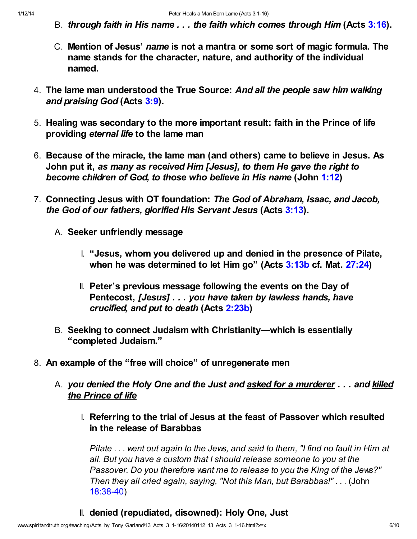- B. through faith in His name . . . the faith which comes through Him (Acts [3:16](http://www.spiritandtruth.org/bibles/nasb/b44c003.htm#Acts_C3V16)).
- C. Mention of Jesus' name is not a mantra or some sort of magic formula. The name stands for the character, nature, and authority of the individual named.
- 4. The lame man understood the True Source: And all the people saw him walking and praising God (Acts [3:9](http://www.spiritandtruth.org/bibles/nasb/b44c003.htm#Acts_C3V9)).
- 5. Healing was secondary to the more important result: faith in the Prince of life providing eternal life to the lame man
- 6. Because of the miracle, the lame man (and others) came to believe in Jesus. As John put it, as many as received Him [Jesus], to them He gave the right to become children of God, to those who believe in His name (John [1:12](http://www.spiritandtruth.org/bibles/nasb/b43c001.htm#John_C1V12))
- 7. Connecting Jesus with OT foundation: The God of Abraham, Isaac, and Jacob, the God of our fathers, glorified His Servant Jesus (Acts [3:13](http://www.spiritandtruth.org/bibles/nasb/b44c003.htm#Acts_C3V13)).
	- A. Seeker unfriendly message
		- I. "Jesus, whom you delivered up and denied in the presence of Pilate, when he was determined to let Him go" (Acts [3:13b](http://www.spiritandtruth.org/bibles/nasb/b44c003.htm#Acts_C3V13) cf. Mat. [27:24\)](http://www.spiritandtruth.org/bibles/nasb/b40c027.htm#Mat._C27V24)
		- II. Peter's previous message following the events on the Day of Pentecost, [Jesus] . . . you have taken by lawless hands, have crucified, and put to death (Acts [2:23b](http://www.spiritandtruth.org/bibles/nasb/b44c002.htm#Acts_C2V23))
	- B. Seeking to connect Judaism with Christianity—which is essentially "completed Judaism."
- 8. An example of the "free will choice" of unregenerate men
	- A. you denied the Holy One and the Just and asked for a murderer . . . and killed the Prince of life
		- I. Referring to the trial of Jesus at the feast of Passover which resulted in the release of Barabbas

Pilate . . . went out again to the Jews, and said to them, "I find no fault in Him at all. But you have a custom that I should release someone to you at the Passover. Do you therefore want me to release to you the King of the Jews?" Then they all cried again, saying, "Not this Man, but Barabbas!" . . . (John [18:38-40\)](http://www.spiritandtruth.org/bibles/nasb/b43c018.htm#John_C18V38)

II. denied (repudiated, disowned): Holy One, Just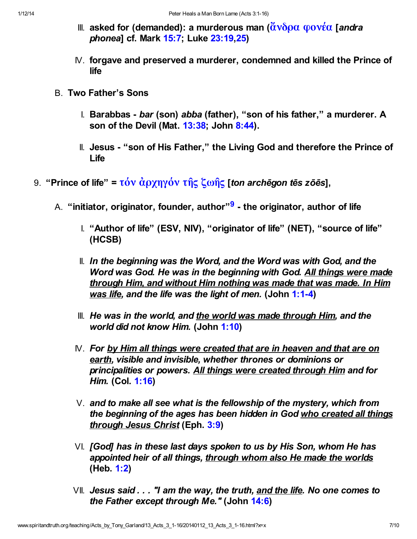- III. asked for (demanded): a murderous man ( $\tilde{\alpha}$ νδρα φονέα [andra phonea] cf. Mark [15:7](http://www.spiritandtruth.org/bibles/nasb/b41c015.htm#Mark_C15V7); Luke [23:19,](http://www.spiritandtruth.org/bibles/nasb/b42c023.htm#Luke_C23V19)[25](http://www.spiritandtruth.org/bibles/nasb/b42c023.htm#Luke_C23V25))
- IV. forgave and preserved a murderer, condemned and killed the Prince of life
- B. Two Father's Sons
	- I. Barabbas bar (son) abba (father), "son of his father," a murderer. A son of the Devil (Mat. [13:38](http://www.spiritandtruth.org/bibles/nasb/b40c013.htm#Mat._C13V38); John [8:44\)](http://www.spiritandtruth.org/bibles/nasb/b43c008.htm#John_C8V44).
	- II. Jesus "son of His Father," the Living God and therefore the Prince of Life
- <span id="page-6-0"></span>9. "Prince of life" = τόν  $\dot{\alpha}$ ρχηγόν τῆς ζωῆς [ton archēgon tēs zōēs],
	- A. "initiator, originator, founder, author"<sup>[9](#page-8-8)</sup> the originator, author of life
		- I. "Author of life" (ESV, NIV), "originator of life" (NET), "source of life" (HCSB)
		- II. In the beginning was the Word, and the Word was with God, and the Word was God. He was in the beginning with God. All things were made through Him, and without Him nothing was made that was made. In Him was life, and the life was the light of men. (John [1:1-4\)](http://www.spiritandtruth.org/bibles/nasb/b43c001.htm#John_C1V1)
		- III. He was in the world, and the world was made through Him, and the world did not know Him. (John [1:10\)](http://www.spiritandtruth.org/bibles/nasb/b43c001.htm#John_C1V10)
		- $N.$  For by Him all things were created that are in heaven and that are on earth, visible and invisible, whether thrones or dominions or principalities or powers. All things were created through Him and for Him. (Col. [1:16\)](http://www.spiritandtruth.org/bibles/nasb/b51c001.htm#Col._C1V16)
		- $V<sub>1</sub>$  and to make all see what is the fellowship of the mystery, which from the beginning of the ages has been hidden in God who created all things through Jesus Christ (Eph. [3:9\)](http://www.spiritandtruth.org/bibles/nasb/b49c003.htm#Eph._C3V9)
		- VI. [God] has in these last days spoken to us by His Son, whom He has appointed heir of all things, through whom also He made the worlds (Heb. [1:2](http://www.spiritandtruth.org/bibles/nasb/b58c001.htm#Heb._C1V2))
		- $VII.$  Jesus said  $\ldots$  "I am the way, the truth, and the life. No one comes to the Father except through Me." (John [14:6](http://www.spiritandtruth.org/bibles/nasb/b43c014.htm#John_C14V6))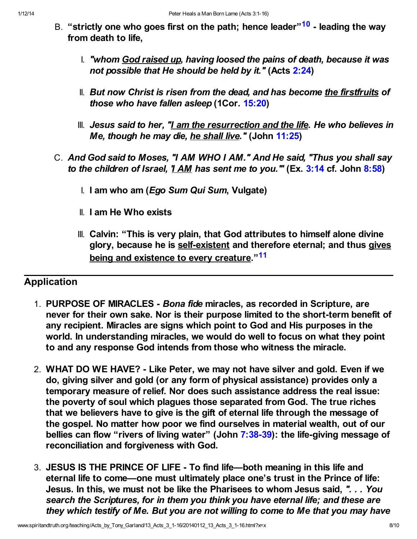- <span id="page-7-0"></span>B. "strictly one who goes first on the path; hence leader"<sup>[10](#page-8-9)</sup> - leading the way from death to life,
	- I. "whom God raised up, having loosed the pains of death, because it was not possible that He should be held by it." (Acts [2:24\)](http://www.spiritandtruth.org/bibles/nasb/b44c002.htm#Acts_C2V24)
	- II. But now Christ is risen from the dead, and has become the firstfruits of those who have fallen asleep (1Cor. [15:20](http://www.spiritandtruth.org/bibles/nasb/b46c015.htm#1Cor._C15V20))
	- III. Jesus said to her, "I am the resurrection and the life. He who believes in Me, though he may die, he shall live." (John [11:25](http://www.spiritandtruth.org/bibles/nasb/b43c011.htm#John_C11V25))
- <span id="page-7-1"></span>C. And God said to Moses, "I AM WHO I AM." And He said, "Thus you shall say to the children of Israel,  $\frac{11 \text{ AM}}{1}$  has sent me to you." (Ex. [3:14](http://www.spiritandtruth.org/bibles/nasb/b02c003.htm#Ex._C3V14) cf. John [8:58\)](http://www.spiritandtruth.org/bibles/nasb/b43c008.htm#John_C8V58)
	- I. I am who am (Ego Sum Qui Sum, Vulgate)
	- II. I am He Who exists
	- III. Calvin: "This is very plain, that God attributes to himself alone divine glory, because he is self-existent and therefore eternal; and thus gives being and existence to every creature."<sup>[11](#page-8-10)</sup>

# Application

- 1. PURPOSE OF MIRACLES Bona fide miracles, as recorded in Scripture, are never for their own sake. Nor is their purpose limited to the short-term benefit of any recipient. Miracles are signs which point to God and His purposes in the world. In understanding miracles, we would do well to focus on what they point to and any response God intends from those who witness the miracle.
- 2. WHAT DO WE HAVE? Like Peter, we may not have silver and gold. Even if we do, giving silver and gold (or any form of physical assistance) provides only a temporary measure of relief. Nor does such assistance address the real issue: the poverty of soul which plagues those separated from God. The true riches that we believers have to give is the gift of eternal life through the message of the gospel. No matter how poor we find ourselves in material wealth, out of our bellies can flow "rivers of living water" (John [7:38-39](http://www.spiritandtruth.org/bibles/nasb/b43c007.htm#John_C7V38)): the life-giving message of reconciliation and forgiveness with God.
- 3. JESUS IS THE PRINCE OF LIFE To find life—both meaning in this life and eternal life to come—one must ultimately place one's trust in the Prince of life: Jesus. In this, we must not be like the Pharisees to whom Jesus said, ". . . You search the Scriptures, for in them you think you have eternal life; and these are they which testify of Me. But you are not willing to come to Me that you may have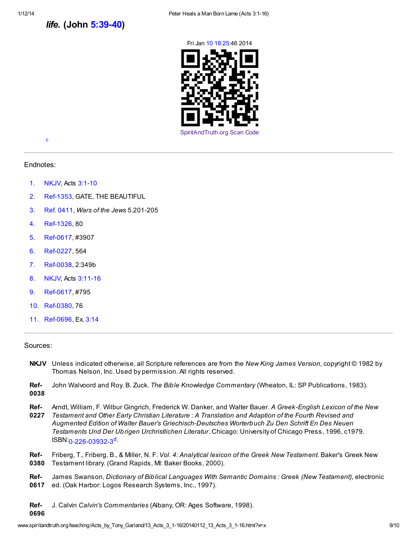life. (John [5:39-40\)](http://www.spiritandtruth.org/bibles/nasb/b43c005.htm#John_C5V39)





<span id="page-8-11"></span>[c](#page-9-2)

Endnotes:

- <span id="page-8-0"></span>[1.](#page-0-0) NKJV, Acts [3:1-10](http://www.spiritandtruth.org/bibles/nasb/b44c003.htm#Acts_C3V1)
- <span id="page-8-1"></span>[2.](#page-1-0) Ref-1353, GATE, THE BEAUTIFUL
- <span id="page-8-2"></span>[3.](#page-1-1) Ref. 0411, Wars of the Jews 5.201-205
- <span id="page-8-3"></span>[4.](#page-1-2) Ref-1326, 80
- <span id="page-8-4"></span>[5.](#page-2-0) Ref-0617, #3907
- <span id="page-8-5"></span>[6.](#page-2-1) Ref-0227, 564
- <span id="page-8-6"></span>[7.](#page-4-0) Ref-0038, 2:349b
- <span id="page-8-7"></span>[8.](#page-4-1) NKJV, Acts [3:11-16](http://www.spiritandtruth.org/bibles/nasb/b44c003.htm#Acts_C3V11)
- <span id="page-8-8"></span>[9.](#page-6-0) Ref-0617, #795
- <span id="page-8-9"></span>[10.](#page-7-0) Ref-0380, 76
- <span id="page-8-10"></span>[11.](#page-7-1) Ref-0696, Ex. [3:14](http://www.spiritandtruth.org/bibles/nasb/b02c003.htm#Ex._C3V14)

#### Sources:

- NKJV Unless indicated otherwise, all Scripture references are from the New King James Version, copyright © 1982 by Thomas Nelson, Inc. Used by permission. All rights reserved.
- Ref-0038 John Walvoord and Roy. B. Zuck. The Bible Knowledge Commentary (Wheaton, IL: SP Publications, 1983).
- Ref-Arndt, William, F. Wilbur Gingrich, Frederick W. Danker, and Walter Bauer. A Greek-English Lexicon of the New
- 0227 Testament and Other Early Christian Literature : A Translation and Adaption of the Fourth Revised and Augmented Edition of Walter Bauer's Griechisch-Deutsches Worterbuch Zu Den Schrift En Des Neuen Testaments Und Der Ubrigen Urchristlichen Literatur. Chicago: University of Chicago Press, 1996, c1979.  $ISBN: 0.226 - 0.3932 - 3^d$  $ISBN: 0.226 - 0.3932 - 3^d$
- <span id="page-8-12"></span>Ref-0380 Friberg, T., Friberg, B., & Miller, N. F. Vol. 4: Analytical lexicon of the Greek New Testament. Baker's Greek New Testament library. (Grand Rapids, MI: Baker Books, 2000).
- Ref-0617 James Swanson, Dictionary of Biblical Languages With Semantic Domains : Greek (New Testament), electronic ed. (Oak Harbor: Logos Research Systems, Inc., 1997).

Ref-J. Calvin Calvin's Commentaries (Albany, OR: Ages Software, 1998).

0696